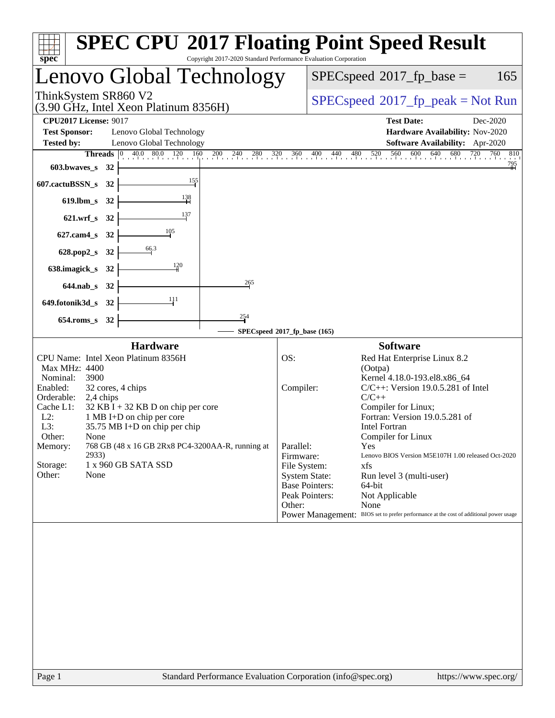| spec <sup>®</sup>                                                                                                                                                                                                                                                                                                                                                                                                                                  | <b>SPEC CPU®2017 Floating Point Speed Result</b><br>Copyright 2017-2020 Standard Performance Evaluation Corporation                                                                                                                                                                                                                                                                                                                                                                                                                                                                                                               |
|----------------------------------------------------------------------------------------------------------------------------------------------------------------------------------------------------------------------------------------------------------------------------------------------------------------------------------------------------------------------------------------------------------------------------------------------------|-----------------------------------------------------------------------------------------------------------------------------------------------------------------------------------------------------------------------------------------------------------------------------------------------------------------------------------------------------------------------------------------------------------------------------------------------------------------------------------------------------------------------------------------------------------------------------------------------------------------------------------|
| Lenovo Global Technology                                                                                                                                                                                                                                                                                                                                                                                                                           | $SPEC speed^{\circ}2017\_fp\_base =$<br>165                                                                                                                                                                                                                                                                                                                                                                                                                                                                                                                                                                                       |
| ThinkSystem SR860 V2<br>(3.90 GHz, Intel Xeon Platinum 8356H)                                                                                                                                                                                                                                                                                                                                                                                      | $SPEC speed^{\circ}2017\_fp\_peak = Not Run$                                                                                                                                                                                                                                                                                                                                                                                                                                                                                                                                                                                      |
| <b>CPU2017 License: 9017</b><br><b>Test Sponsor:</b><br>Lenovo Global Technology<br><b>Tested by:</b><br>Lenovo Global Technology<br>603.bwaves_s 32<br>$\frac{155}{1}$<br>607.cactuBSSN_s 32<br>619.lbm_s 32<br>137<br>621.wrf_s 32<br>105<br>$627$ .cam $4$ <sub>_S</sub><br>32<br>$\frac{66.3}{ }$<br>628.pop2_s 32<br>120<br>638.imagick_s<br>32<br>265<br>644.nab_s 32<br>111<br>649.fotonik3d_s 32<br>$\frac{254}{1}$<br>$654$ .roms_s<br>32 | <b>Test Date:</b><br>Dec-2020<br>Hardware Availability: Nov-2020<br>Software Availability: Apr-2020<br><b>Threads</b> $\begin{bmatrix} 0 & 40.0 & 80.0 & 120 & 160 & 200 & 240 & 280 & 320 & 360 & 400 & 440 & 480 & 520 & 560 & 600 & 640 & 680 & 720 & 760 \end{bmatrix}$<br>810<br>$\frac{795}{1}$                                                                                                                                                                                                                                                                                                                             |
|                                                                                                                                                                                                                                                                                                                                                                                                                                                    | SPECspeed®2017_fp_base (165)                                                                                                                                                                                                                                                                                                                                                                                                                                                                                                                                                                                                      |
| <b>Hardware</b><br>CPU Name: Intel Xeon Platinum 8356H<br><b>Max MHz: 4400</b><br>Nominal:<br>3900<br>Enabled:<br>32 cores, 4 chips<br>Orderable:<br>2,4 chips<br>Cache L1:<br>$32$ KB I + 32 KB D on chip per core<br>$L2$ :<br>1 MB I+D on chip per core<br>35.75 MB I+D on chip per chip<br>L3:<br>Other:<br>None<br>768 GB (48 x 16 GB 2Rx8 PC4-3200AA-R, running at<br>Memory:<br>2933)<br>Storage:<br>1 x 960 GB SATA SSD<br>Other:<br>None  | <b>Software</b><br>OS:<br>Red Hat Enterprise Linux 8.2<br>(Ootpa)<br>Kernel 4.18.0-193.el8.x86_64<br>Compiler:<br>$C/C++$ : Version 19.0.5.281 of Intel<br>$C/C++$<br>Compiler for Linux;<br>Fortran: Version 19.0.5.281 of<br><b>Intel Fortran</b><br>Compiler for Linux<br>Parallel:<br>Yes<br>Lenovo BIOS Version M5E107H 1.00 released Oct-2020<br>Firmware:<br>File System:<br>xfs<br><b>System State:</b><br>Run level 3 (multi-user)<br><b>Base Pointers:</b><br>64-bit<br>Peak Pointers:<br>Not Applicable<br>Other:<br>None<br>Power Management:<br>BIOS set to prefer performance at the cost of additional power usage |
|                                                                                                                                                                                                                                                                                                                                                                                                                                                    |                                                                                                                                                                                                                                                                                                                                                                                                                                                                                                                                                                                                                                   |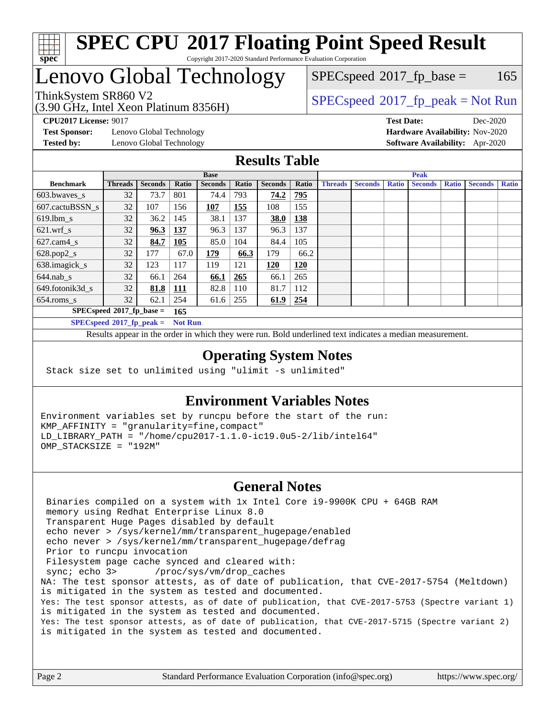

## Lenovo Global Technology

(3.90 GHz, Intel Xeon Platinum 8356H)

 $SPECspeed^{\circledcirc}2017_fp\_base = 165$  $SPECspeed^{\circledcirc}2017_fp\_base = 165$ 

### ThinkSystem SR860 V2<br>  $(3.00 \text{ GHz, Intel Yoon Plotinum } 8356 \text{W})$  [SPECspeed](http://www.spec.org/auto/cpu2017/Docs/result-fields.html#SPECspeed2017fppeak)<sup>®</sup>[2017\\_fp\\_peak = N](http://www.spec.org/auto/cpu2017/Docs/result-fields.html#SPECspeed2017fppeak)ot Run

**[Test Sponsor:](http://www.spec.org/auto/cpu2017/Docs/result-fields.html#TestSponsor)** Lenovo Global Technology **[Hardware Availability:](http://www.spec.org/auto/cpu2017/Docs/result-fields.html#HardwareAvailability)** Nov-2020 **[Tested by:](http://www.spec.org/auto/cpu2017/Docs/result-fields.html#Testedby)** Lenovo Global Technology **[Software Availability:](http://www.spec.org/auto/cpu2017/Docs/result-fields.html#SoftwareAvailability)** Apr-2020

**[CPU2017 License:](http://www.spec.org/auto/cpu2017/Docs/result-fields.html#CPU2017License)** 9017 **[Test Date:](http://www.spec.org/auto/cpu2017/Docs/result-fields.html#TestDate)** Dec-2020

#### **[Results Table](http://www.spec.org/auto/cpu2017/Docs/result-fields.html#ResultsTable)**

|                                    | <b>Base</b>                 |                |                |                |              |                |            |                | <b>Peak</b>    |              |                |              |                |              |
|------------------------------------|-----------------------------|----------------|----------------|----------------|--------------|----------------|------------|----------------|----------------|--------------|----------------|--------------|----------------|--------------|
| <b>Benchmark</b>                   | <b>Threads</b>              | <b>Seconds</b> | Ratio          | <b>Seconds</b> | <b>Ratio</b> | <b>Seconds</b> | Ratio      | <b>Threads</b> | <b>Seconds</b> | <b>Ratio</b> | <b>Seconds</b> | <b>Ratio</b> | <b>Seconds</b> | <b>Ratio</b> |
| 603.bwayes s                       | 32                          | 73.7           | 801            | 74.4           | 793          | 74.2           | 795        |                |                |              |                |              |                |              |
| 607.cactuBSSN s                    | 32                          | 107            | 156            | 107            | 155          | 108            | 155        |                |                |              |                |              |                |              |
| $619.$ lbm s                       | 32                          | 36.2           | 145            | 38.1           | 137          | <b>38.0</b>    | 138        |                |                |              |                |              |                |              |
| $621.wrf$ s                        | 32                          | 96.3           | <u>137</u>     | 96.3           | 137          | 96.3           | 137        |                |                |              |                |              |                |              |
| $627$ .cam4 s                      | 32                          | 84.7           | 105            | 85.0           | 104          | 84.4           | 105        |                |                |              |                |              |                |              |
| $628.pop2_s$                       | 32                          | 177            | 67.0           | 179            | 66.3         | 179            | 66.2       |                |                |              |                |              |                |              |
| 638.imagick_s                      | 32                          | 123            | 117            | 119            | 121          | 120            | <b>120</b> |                |                |              |                |              |                |              |
| $644$ .nab s                       | 32                          | 66.1           | 264            | 66.1           | 265          | 66.1           | 265        |                |                |              |                |              |                |              |
| 649.fotonik3d s                    | 32                          | 81.8           | <b>111</b>     | 82.8           | 110          | 81.7           | 112        |                |                |              |                |              |                |              |
| $654$ .roms s                      | 32                          | 62.1           | 254            | 61.6           | 255          | 61.9           | 254        |                |                |              |                |              |                |              |
| $SPECspeed*2017_fp\_base =$<br>165 |                             |                |                |                |              |                |            |                |                |              |                |              |                |              |
|                                    | $SPECspeed*2017_fp\_peak =$ |                | <b>Not Run</b> |                |              |                |            |                |                |              |                |              |                |              |

Results appear in the [order in which they were run.](http://www.spec.org/auto/cpu2017/Docs/result-fields.html#RunOrder) Bold underlined text [indicates a median measurement](http://www.spec.org/auto/cpu2017/Docs/result-fields.html#Median).

#### **[Operating System Notes](http://www.spec.org/auto/cpu2017/Docs/result-fields.html#OperatingSystemNotes)**

Stack size set to unlimited using "ulimit -s unlimited"

#### **[Environment Variables Notes](http://www.spec.org/auto/cpu2017/Docs/result-fields.html#EnvironmentVariablesNotes)**

Environment variables set by runcpu before the start of the run: KMP\_AFFINITY = "granularity=fine,compact" LD\_LIBRARY\_PATH = "/home/cpu2017-1.1.0-ic19.0u5-2/lib/intel64" OMP\_STACKSIZE = "192M"

#### **[General Notes](http://www.spec.org/auto/cpu2017/Docs/result-fields.html#GeneralNotes)**

 Binaries compiled on a system with 1x Intel Core i9-9900K CPU + 64GB RAM memory using Redhat Enterprise Linux 8.0 Transparent Huge Pages disabled by default echo never > /sys/kernel/mm/transparent\_hugepage/enabled echo never > /sys/kernel/mm/transparent\_hugepage/defrag Prior to runcpu invocation Filesystem page cache synced and cleared with: sync; echo 3> /proc/sys/vm/drop\_caches NA: The test sponsor attests, as of date of publication, that CVE-2017-5754 (Meltdown) is mitigated in the system as tested and documented. Yes: The test sponsor attests, as of date of publication, that CVE-2017-5753 (Spectre variant 1) is mitigated in the system as tested and documented. Yes: The test sponsor attests, as of date of publication, that CVE-2017-5715 (Spectre variant 2) is mitigated in the system as tested and documented.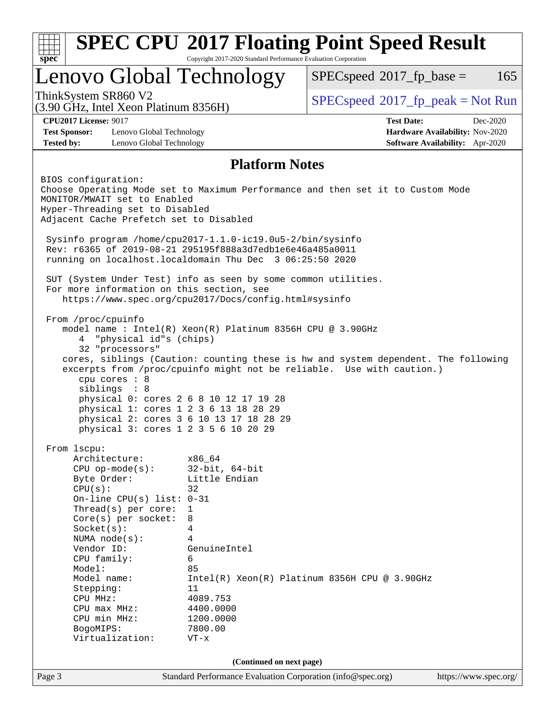|                                           |                                                                                                            | Lenovo Global Technology                                                                                                                                                                                                          | $SPEC speed^{\circ}2017$ fp base =                                                                                                                          | 165                                                                |
|-------------------------------------------|------------------------------------------------------------------------------------------------------------|-----------------------------------------------------------------------------------------------------------------------------------------------------------------------------------------------------------------------------------|-------------------------------------------------------------------------------------------------------------------------------------------------------------|--------------------------------------------------------------------|
| ThinkSystem SR860 V2                      | (3.90 GHz, Intel Xeon Platinum 8356H)                                                                      |                                                                                                                                                                                                                                   | $SPEC speed^{\circ}2017\_fp\_peak = Not Run$                                                                                                                |                                                                    |
| <b>CPU2017 License: 9017</b>              |                                                                                                            |                                                                                                                                                                                                                                   | <b>Test Date:</b>                                                                                                                                           | Dec-2020                                                           |
| <b>Test Sponsor:</b><br><b>Tested by:</b> | Lenovo Global Technology<br>Lenovo Global Technology                                                       |                                                                                                                                                                                                                                   |                                                                                                                                                             | Hardware Availability: Nov-2020<br>Software Availability: Apr-2020 |
|                                           |                                                                                                            | <b>Platform Notes</b>                                                                                                                                                                                                             |                                                                                                                                                             |                                                                    |
| BIOS configuration:                       | MONITOR/MWAIT set to Enabled<br>Hyper-Threading set to Disabled<br>Adjacent Cache Prefetch set to Disabled |                                                                                                                                                                                                                                   | Choose Operating Mode set to Maximum Performance and then set it to Custom Mode                                                                             |                                                                    |
|                                           |                                                                                                            | Sysinfo program /home/cpu2017-1.1.0-ic19.0u5-2/bin/sysinfo<br>Rev: r6365 of 2019-08-21 295195f888a3d7edble6e46a485a0011<br>running on localhost.localdomain Thu Dec 3 06:25:50 2020                                               |                                                                                                                                                             |                                                                    |
| For more information on this section, see |                                                                                                            | SUT (System Under Test) info as seen by some common utilities.                                                                                                                                                                    |                                                                                                                                                             |                                                                    |
|                                           |                                                                                                            | https://www.spec.org/cpu2017/Docs/config.html#sysinfo                                                                                                                                                                             |                                                                                                                                                             |                                                                    |
| From /proc/cpuinfo<br>4<br>From 1scpu:    | "physical id"s (chips)<br>32 "processors"<br>cpu cores : 8<br>siblings : 8                                 | model name: $Intel(R)$ Xeon(R) Platinum 8356H CPU @ 3.90GHz<br>physical 0: cores 2 6 8 10 12 17 19 28<br>physical 1: cores 1 2 3 6 13 18 28 29<br>physical 2: cores 3 6 10 13 17 18 28 29<br>physical 3: cores 1 2 3 5 6 10 20 29 | cores, siblings (Caution: counting these is hw and system dependent. The following<br>excerpts from /proc/cpuinfo might not be reliable. Use with caution.) |                                                                    |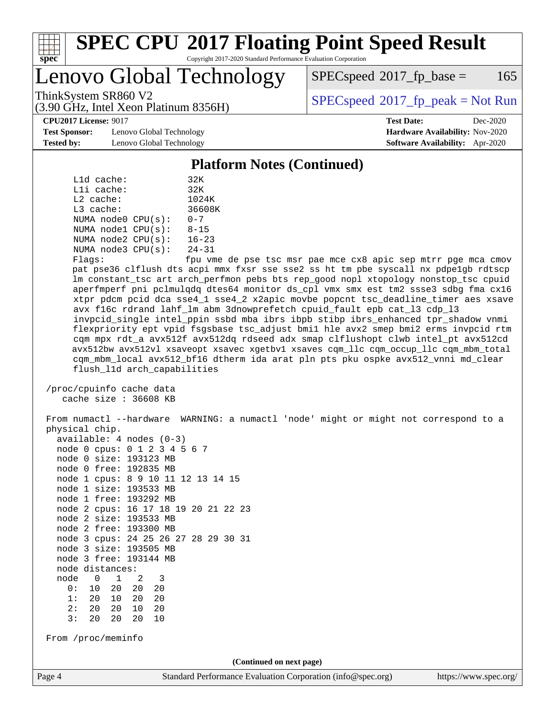

## Lenovo Global Technology

 $SPEC speed^{\circ}2017\_fp\_base = 165$ 

(3.90 GHz, Intel Xeon Platinum 8356H)

ThinkSystem SR860 V2  $\begin{array}{c} | \text{SPEC speed} \textdegree 2017 \text{ f}p\_peak = Not Run \end{array}$ 

**[CPU2017 License:](http://www.spec.org/auto/cpu2017/Docs/result-fields.html#CPU2017License)** 9017 **[Test Date:](http://www.spec.org/auto/cpu2017/Docs/result-fields.html#TestDate)** Dec-2020

**[Test Sponsor:](http://www.spec.org/auto/cpu2017/Docs/result-fields.html#TestSponsor)** Lenovo Global Technology **[Hardware Availability:](http://www.spec.org/auto/cpu2017/Docs/result-fields.html#HardwareAvailability)** Nov-2020 **[Tested by:](http://www.spec.org/auto/cpu2017/Docs/result-fields.html#Testedby)** Lenovo Global Technology **[Software Availability:](http://www.spec.org/auto/cpu2017/Docs/result-fields.html#SoftwareAvailability)** Apr-2020

### **[Platform Notes \(Continued\)](http://www.spec.org/auto/cpu2017/Docs/result-fields.html#PlatformNotes)**

|             | L1d cache:   |                         | 32K           |
|-------------|--------------|-------------------------|---------------|
|             | $L1i$ cache: |                         | 32K           |
| $L2$ cache: |              |                         | 1024K         |
| $L3$ cache: |              |                         | 36608K        |
|             |              | NUMA node0 CPU(s):      | $0 - 7$       |
|             |              | NUMA $node1$ $CPU(s)$ : | $8 - 15$      |
|             |              | NUMA $node2$ $CPU(s)$ : | $16 - 23$     |
|             |              | NUMA node3 CPU(s):      | $24 - 31$     |
|             |              |                         | $\sim$ $\sim$ |

Flags: fpu vme de pse tsc msr pae mce cx8 apic sep mtrr pge mca cmov pat pse36 clflush dts acpi mmx fxsr sse sse2 ss ht tm pbe syscall nx pdpe1gb rdtscp lm constant\_tsc art arch\_perfmon pebs bts rep\_good nopl xtopology nonstop\_tsc cpuid aperfmperf pni pclmulqdq dtes64 monitor ds\_cpl vmx smx est tm2 ssse3 sdbg fma cx16 xtpr pdcm pcid dca sse4\_1 sse4\_2 x2apic movbe popcnt tsc\_deadline\_timer aes xsave avx f16c rdrand lahf\_lm abm 3dnowprefetch cpuid\_fault epb cat\_l3 cdp\_l3 invpcid\_single intel\_ppin ssbd mba ibrs ibpb stibp ibrs\_enhanced tpr\_shadow vnmi flexpriority ept vpid fsgsbase tsc\_adjust bmi1 hle avx2 smep bmi2 erms invpcid rtm cqm mpx rdt\_a avx512f avx512dq rdseed adx smap clflushopt clwb intel\_pt avx512cd avx512bw avx512vl xsaveopt xsavec xgetbv1 xsaves cqm\_llc cqm\_occup\_llc cqm\_mbm\_total cqm\_mbm\_local avx512\_bf16 dtherm ida arat pln pts pku ospke avx512\_vnni md\_clear flush\_l1d arch\_capabilities

 /proc/cpuinfo cache data cache size : 36608 KB

 From numactl --hardware WARNING: a numactl 'node' might or might not correspond to a physical chip. available: 4 nodes (0-3) node 0 cpus: 0 1 2 3 4 5 6 7 node 0 size: 193123 MB node 0 free: 192835 MB node 1 cpus: 8 9 10 11 12 13 14 15 node 1 size: 193533 MB node 1 free: 193292 MB node 2 cpus: 16 17 18 19 20 21 22 23 node 2 size: 193533 MB node 2 free: 193300 MB node 3 cpus: 24 25 26 27 28 29 30 31 node 3 size: 193505 MB node 3 free: 193144 MB node distances: node 0 1 2 3 0: 10 20 20 20 1: 20 10 20 20 2: 20 20 10 20 3: 20 20 20 10 From /proc/meminfo **(Continued on next page)**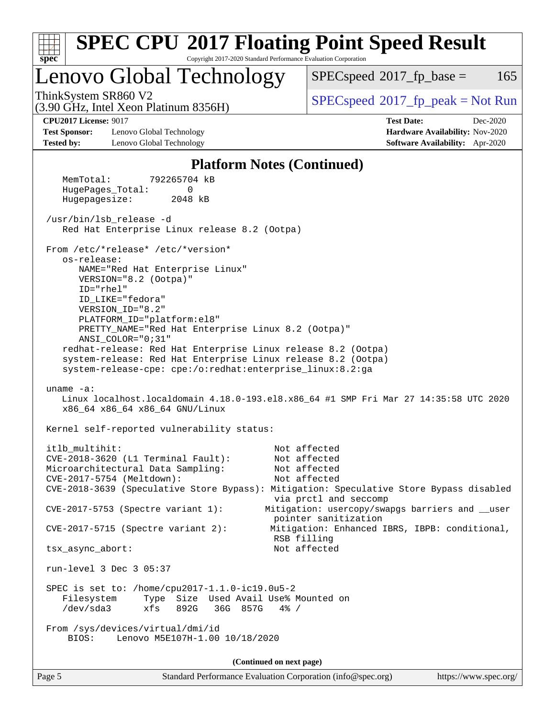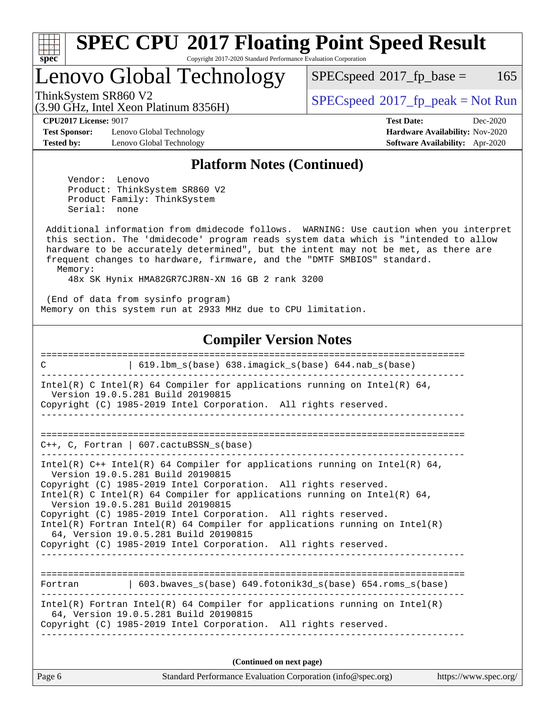

# **[SPEC CPU](http://www.spec.org/auto/cpu2017/Docs/result-fields.html#SPECCPU2017FloatingPointSpeedResult)[2017 Floating Point Speed Result](http://www.spec.org/auto/cpu2017/Docs/result-fields.html#SPECCPU2017FloatingPointSpeedResult)**

Copyright 2017-2020 Standard Performance Evaluation Corporation

## Lenovo Global Technology

 $SPECspeed^{\circ}2017\_fp\_base = 165$  $SPECspeed^{\circ}2017\_fp\_base = 165$ 

ThinkSystem SR860 V2<br>  $(3.00 \text{ GHz, Intel Yoon Plotinum } 8356 \text{W})$  [SPECspeed](http://www.spec.org/auto/cpu2017/Docs/result-fields.html#SPECspeed2017fppeak)<sup>®</sup>[2017\\_fp\\_peak = N](http://www.spec.org/auto/cpu2017/Docs/result-fields.html#SPECspeed2017fppeak)ot Run

**[Test Sponsor:](http://www.spec.org/auto/cpu2017/Docs/result-fields.html#TestSponsor)** Lenovo Global Technology **[Hardware Availability:](http://www.spec.org/auto/cpu2017/Docs/result-fields.html#HardwareAvailability)** Nov-2020 **[Tested by:](http://www.spec.org/auto/cpu2017/Docs/result-fields.html#Testedby)** Lenovo Global Technology **[Software Availability:](http://www.spec.org/auto/cpu2017/Docs/result-fields.html#SoftwareAvailability)** Apr-2020

(3.90 GHz, Intel Xeon Platinum 8356H)

**[CPU2017 License:](http://www.spec.org/auto/cpu2017/Docs/result-fields.html#CPU2017License)** 9017 **[Test Date:](http://www.spec.org/auto/cpu2017/Docs/result-fields.html#TestDate)** Dec-2020

#### **[Platform Notes \(Continued\)](http://www.spec.org/auto/cpu2017/Docs/result-fields.html#PlatformNotes)**

 Vendor: Lenovo Product: ThinkSystem SR860 V2 Product Family: ThinkSystem Serial: none

 Additional information from dmidecode follows. WARNING: Use caution when you interpret this section. The 'dmidecode' program reads system data which is "intended to allow hardware to be accurately determined", but the intent may not be met, as there are frequent changes to hardware, firmware, and the "DMTF SMBIOS" standard. Memory:

48x SK Hynix HMA82GR7CJR8N-XN 16 GB 2 rank 3200

 (End of data from sysinfo program) Memory on this system run at 2933 MHz due to CPU limitation.

#### **[Compiler Version Notes](http://www.spec.org/auto/cpu2017/Docs/result-fields.html#CompilerVersionNotes)**

| 619.1bm_s(base) 638.imagick_s(base) 644.nab_s(base)<br>$\mathcal{C}$                                                                                                                                                                                                                                                                                                                                                                                                                                                                                               |
|--------------------------------------------------------------------------------------------------------------------------------------------------------------------------------------------------------------------------------------------------------------------------------------------------------------------------------------------------------------------------------------------------------------------------------------------------------------------------------------------------------------------------------------------------------------------|
| Intel(R) C Intel(R) 64 Compiler for applications running on Intel(R) 64,<br>Version 19.0.5.281 Build 20190815<br>Copyright (C) 1985-2019 Intel Corporation. All rights reserved.                                                                                                                                                                                                                                                                                                                                                                                   |
|                                                                                                                                                                                                                                                                                                                                                                                                                                                                                                                                                                    |
| $C_{++}$ , C, Fortran   607.cactuBSSN $s(base)$                                                                                                                                                                                                                                                                                                                                                                                                                                                                                                                    |
| Intel(R) $C++$ Intel(R) 64 Compiler for applications running on Intel(R) 64,<br>Version 19.0.5.281 Build 20190815<br>Copyright (C) 1985-2019 Intel Corporation. All rights reserved.<br>Intel(R) C Intel(R) 64 Compiler for applications running on Intel(R) 64,<br>Version 19.0.5.281 Build 20190815<br>Copyright (C) 1985-2019 Intel Corporation. All rights reserved.<br>Intel(R) Fortran Intel(R) 64 Compiler for applications running on Intel(R)<br>64, Version 19.0.5.281 Build 20190815<br>Copyright (C) 1985-2019 Intel Corporation. All rights reserved. |
| Fortran (603.bwaves s(base) 649.fotonik3d s(base) 654.roms s(base)                                                                                                                                                                                                                                                                                                                                                                                                                                                                                                 |
| Intel(R) Fortran Intel(R) 64 Compiler for applications running on Intel(R)<br>64, Version 19.0.5.281 Build 20190815<br>Copyright (C) 1985-2019 Intel Corporation. All rights reserved.                                                                                                                                                                                                                                                                                                                                                                             |
| (Continued on next page)                                                                                                                                                                                                                                                                                                                                                                                                                                                                                                                                           |

Page 6 Standard Performance Evaluation Corporation [\(info@spec.org\)](mailto:info@spec.org) <https://www.spec.org/>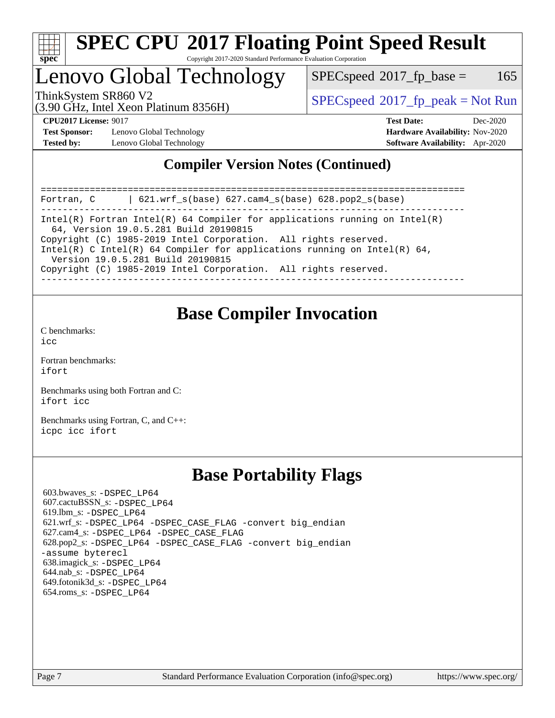

## Lenovo Global Technology

 $SPEC speed^{\circ}2017\_fp\_base = 165$ 

(3.90 GHz, Intel Xeon Platinum 8356H)

ThinkSystem SR860 V2<br>  $\begin{array}{c} \text{SPEC speed} \textdegree 2017\_fp\_peak = Not Run \end{array}$ 

**[Test Sponsor:](http://www.spec.org/auto/cpu2017/Docs/result-fields.html#TestSponsor)** Lenovo Global Technology **[Hardware Availability:](http://www.spec.org/auto/cpu2017/Docs/result-fields.html#HardwareAvailability)** Nov-2020 **[Tested by:](http://www.spec.org/auto/cpu2017/Docs/result-fields.html#Testedby)** Lenovo Global Technology **[Software Availability:](http://www.spec.org/auto/cpu2017/Docs/result-fields.html#SoftwareAvailability)** Apr-2020

**[CPU2017 License:](http://www.spec.org/auto/cpu2017/Docs/result-fields.html#CPU2017License)** 9017 **[Test Date:](http://www.spec.org/auto/cpu2017/Docs/result-fields.html#TestDate)** Dec-2020

### **[Compiler Version Notes \(Continued\)](http://www.spec.org/auto/cpu2017/Docs/result-fields.html#CompilerVersionNotes)**

============================================================================== Fortran, C | 621.wrf\_s(base) 627.cam4\_s(base) 628.pop2\_s(base) ------------------------------------------------------------------------------ Intel(R) Fortran Intel(R) 64 Compiler for applications running on Intel(R) 64, Version 19.0.5.281 Build 20190815 Copyright (C) 1985-2019 Intel Corporation. All rights reserved. Intel(R) C Intel(R) 64 Compiler for applications running on Intel(R)  $64$ , Version 19.0.5.281 Build 20190815 Copyright (C) 1985-2019 Intel Corporation. All rights reserved. ------------------------------------------------------------------------------

## **[Base Compiler Invocation](http://www.spec.org/auto/cpu2017/Docs/result-fields.html#BaseCompilerInvocation)**

[C benchmarks](http://www.spec.org/auto/cpu2017/Docs/result-fields.html#Cbenchmarks):  $i$ cc

[Fortran benchmarks](http://www.spec.org/auto/cpu2017/Docs/result-fields.html#Fortranbenchmarks): [ifort](http://www.spec.org/cpu2017/results/res2020q4/cpu2017-20201207-24536.flags.html#user_FCbase_intel_ifort_8111460550e3ca792625aed983ce982f94888b8b503583aa7ba2b8303487b4d8a21a13e7191a45c5fd58ff318f48f9492884d4413fa793fd88dd292cad7027ca)

[Benchmarks using both Fortran and C](http://www.spec.org/auto/cpu2017/Docs/result-fields.html#BenchmarksusingbothFortranandC): [ifort](http://www.spec.org/cpu2017/results/res2020q4/cpu2017-20201207-24536.flags.html#user_CC_FCbase_intel_ifort_8111460550e3ca792625aed983ce982f94888b8b503583aa7ba2b8303487b4d8a21a13e7191a45c5fd58ff318f48f9492884d4413fa793fd88dd292cad7027ca) [icc](http://www.spec.org/cpu2017/results/res2020q4/cpu2017-20201207-24536.flags.html#user_CC_FCbase_intel_icc_66fc1ee009f7361af1fbd72ca7dcefbb700085f36577c54f309893dd4ec40d12360134090235512931783d35fd58c0460139e722d5067c5574d8eaf2b3e37e92)

[Benchmarks using Fortran, C, and C++:](http://www.spec.org/auto/cpu2017/Docs/result-fields.html#BenchmarksusingFortranCandCXX) [icpc](http://www.spec.org/cpu2017/results/res2020q4/cpu2017-20201207-24536.flags.html#user_CC_CXX_FCbase_intel_icpc_c510b6838c7f56d33e37e94d029a35b4a7bccf4766a728ee175e80a419847e808290a9b78be685c44ab727ea267ec2f070ec5dc83b407c0218cded6866a35d07) [icc](http://www.spec.org/cpu2017/results/res2020q4/cpu2017-20201207-24536.flags.html#user_CC_CXX_FCbase_intel_icc_66fc1ee009f7361af1fbd72ca7dcefbb700085f36577c54f309893dd4ec40d12360134090235512931783d35fd58c0460139e722d5067c5574d8eaf2b3e37e92) [ifort](http://www.spec.org/cpu2017/results/res2020q4/cpu2017-20201207-24536.flags.html#user_CC_CXX_FCbase_intel_ifort_8111460550e3ca792625aed983ce982f94888b8b503583aa7ba2b8303487b4d8a21a13e7191a45c5fd58ff318f48f9492884d4413fa793fd88dd292cad7027ca)

## **[Base Portability Flags](http://www.spec.org/auto/cpu2017/Docs/result-fields.html#BasePortabilityFlags)**

 603.bwaves\_s: [-DSPEC\\_LP64](http://www.spec.org/cpu2017/results/res2020q4/cpu2017-20201207-24536.flags.html#suite_basePORTABILITY603_bwaves_s_DSPEC_LP64) 607.cactuBSSN\_s: [-DSPEC\\_LP64](http://www.spec.org/cpu2017/results/res2020q4/cpu2017-20201207-24536.flags.html#suite_basePORTABILITY607_cactuBSSN_s_DSPEC_LP64) 619.lbm\_s: [-DSPEC\\_LP64](http://www.spec.org/cpu2017/results/res2020q4/cpu2017-20201207-24536.flags.html#suite_basePORTABILITY619_lbm_s_DSPEC_LP64) 621.wrf\_s: [-DSPEC\\_LP64](http://www.spec.org/cpu2017/results/res2020q4/cpu2017-20201207-24536.flags.html#suite_basePORTABILITY621_wrf_s_DSPEC_LP64) [-DSPEC\\_CASE\\_FLAG](http://www.spec.org/cpu2017/results/res2020q4/cpu2017-20201207-24536.flags.html#b621.wrf_s_baseCPORTABILITY_DSPEC_CASE_FLAG) [-convert big\\_endian](http://www.spec.org/cpu2017/results/res2020q4/cpu2017-20201207-24536.flags.html#user_baseFPORTABILITY621_wrf_s_convert_big_endian_c3194028bc08c63ac5d04de18c48ce6d347e4e562e8892b8bdbdc0214820426deb8554edfa529a3fb25a586e65a3d812c835984020483e7e73212c4d31a38223) 627.cam4\_s: [-DSPEC\\_LP64](http://www.spec.org/cpu2017/results/res2020q4/cpu2017-20201207-24536.flags.html#suite_basePORTABILITY627_cam4_s_DSPEC_LP64) [-DSPEC\\_CASE\\_FLAG](http://www.spec.org/cpu2017/results/res2020q4/cpu2017-20201207-24536.flags.html#b627.cam4_s_baseCPORTABILITY_DSPEC_CASE_FLAG) 628.pop2\_s: [-DSPEC\\_LP64](http://www.spec.org/cpu2017/results/res2020q4/cpu2017-20201207-24536.flags.html#suite_basePORTABILITY628_pop2_s_DSPEC_LP64) [-DSPEC\\_CASE\\_FLAG](http://www.spec.org/cpu2017/results/res2020q4/cpu2017-20201207-24536.flags.html#b628.pop2_s_baseCPORTABILITY_DSPEC_CASE_FLAG) [-convert big\\_endian](http://www.spec.org/cpu2017/results/res2020q4/cpu2017-20201207-24536.flags.html#user_baseFPORTABILITY628_pop2_s_convert_big_endian_c3194028bc08c63ac5d04de18c48ce6d347e4e562e8892b8bdbdc0214820426deb8554edfa529a3fb25a586e65a3d812c835984020483e7e73212c4d31a38223) [-assume byterecl](http://www.spec.org/cpu2017/results/res2020q4/cpu2017-20201207-24536.flags.html#user_baseFPORTABILITY628_pop2_s_assume_byterecl_7e47d18b9513cf18525430bbf0f2177aa9bf368bc7a059c09b2c06a34b53bd3447c950d3f8d6c70e3faf3a05c8557d66a5798b567902e8849adc142926523472) 638.imagick\_s: [-DSPEC\\_LP64](http://www.spec.org/cpu2017/results/res2020q4/cpu2017-20201207-24536.flags.html#suite_basePORTABILITY638_imagick_s_DSPEC_LP64) 644.nab\_s: [-DSPEC\\_LP64](http://www.spec.org/cpu2017/results/res2020q4/cpu2017-20201207-24536.flags.html#suite_basePORTABILITY644_nab_s_DSPEC_LP64) 649.fotonik3d\_s: [-DSPEC\\_LP64](http://www.spec.org/cpu2017/results/res2020q4/cpu2017-20201207-24536.flags.html#suite_basePORTABILITY649_fotonik3d_s_DSPEC_LP64) 654.roms\_s: [-DSPEC\\_LP64](http://www.spec.org/cpu2017/results/res2020q4/cpu2017-20201207-24536.flags.html#suite_basePORTABILITY654_roms_s_DSPEC_LP64)